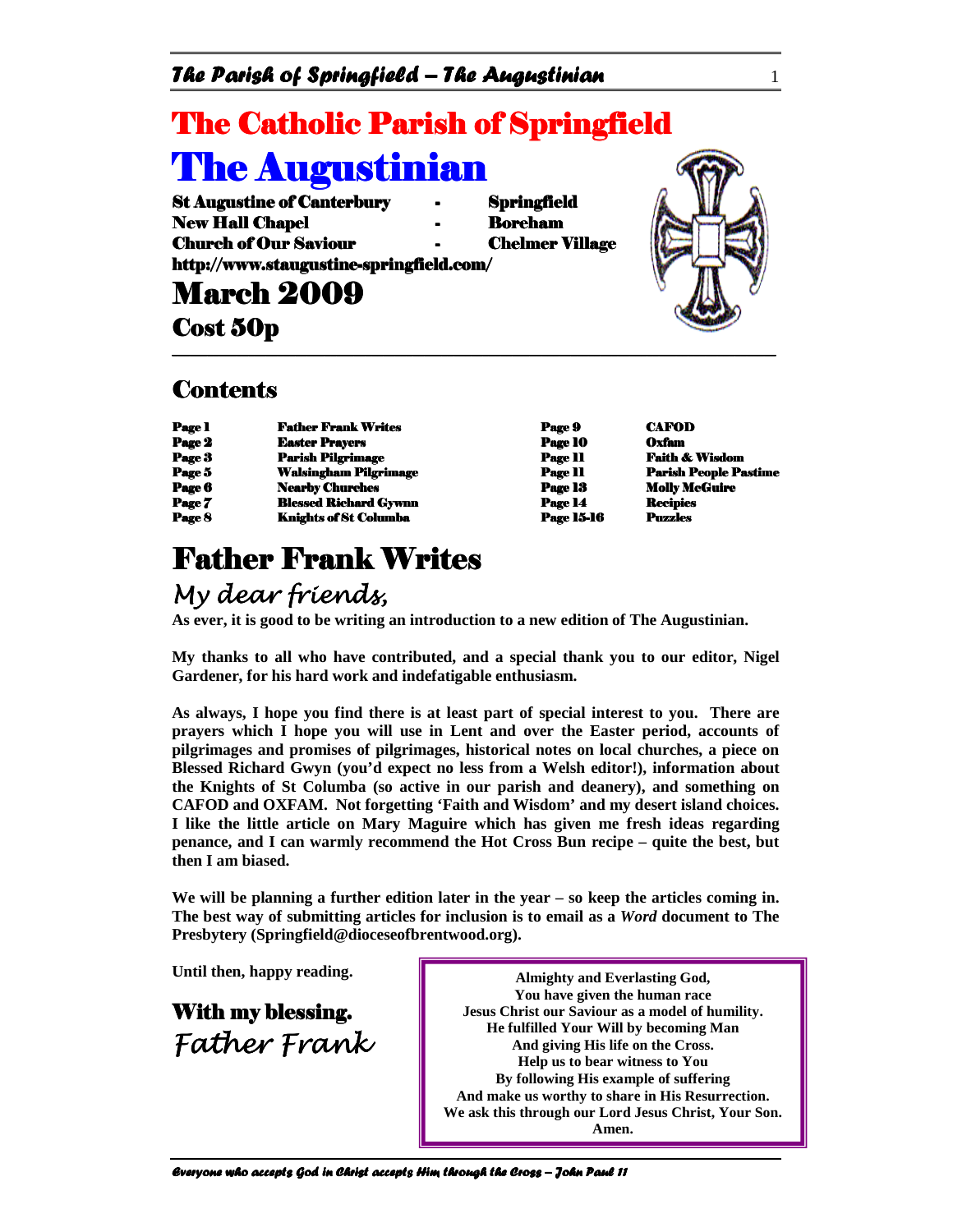### The Parish of Springfield – The Augustinian  $1$

# **The Catholic Parish of Springfield The Augustinian**

St Augustine of Canterbury - Springfield New Hall Chapel **Hall Chapel Hall Chapel Hall Chapel Hall Chapter Hall Chapter Hall Chapter Hall Chapter** Church of Our Saviour **Chelmer Village** http://www.staugustine-springfield.com/

**March 2009** 

Cost 50p

#### **Contents**

| <b>Page 1</b> | <b>Father Frank Writes</b>   | Page 9         | <b>CAFOD</b>       |
|---------------|------------------------------|----------------|--------------------|
| Page 2        | <b>Easter Prayers</b>        | Page 10        | Oxfam              |
| Page 3        | <b>Parish Pilgrimage</b>     | <b>Page 11</b> | <b>Faith &amp;</b> |
| Page 5        | <b>Walsingham Pilgrimage</b> | <b>Page 11</b> | <b>Parish P</b>    |
| Page 6        | <b>Nearby Churches</b>       | Page 13        | <b>Molly Me</b>    |
| Page 7        | <b>Blessed Richard Gywnn</b> | Page 14        | <b>Recipies</b>    |
| Page 8        | Knights of St Columba        | Page 15-16     | <b>Puzzles</b>     |

# **Father Frank Writes**

### My dear friends,

**As ever, it is good to be writing an introduction to a new edition of The Augustinian.** 

**My thanks to all who have contributed, and a special thank you to our editor, Nigel Gardener, for his hard work and indefatigable enthusiasm.** 

\_\_\_\_\_\_\_\_\_\_\_\_\_\_\_\_\_\_\_\_\_\_\_\_\_\_\_\_\_\_\_\_\_\_\_\_\_\_\_\_\_\_\_\_\_\_\_\_\_\_\_ \_\_\_\_\_\_\_\_\_\_\_\_\_\_\_\_\_\_\_\_\_\_\_\_\_\_\_\_\_\_\_\_\_\_\_\_\_\_\_\_\_\_\_\_\_\_\_\_\_\_\_\_\_\_\_\_\_\_\_\_\_\_\_\_\_\_\_\_\_\_\_\_\_\_\_\_\_\_\_\_\_\_\_ \_\_\_\_\_\_\_\_\_\_\_\_\_\_\_\_\_\_\_\_\_\_\_\_\_\_\_\_\_\_\_\_\_\_\_\_\_\_\_\_\_\_\_\_\_\_\_\_\_\_\_ \_\_\_\_\_\_\_\_\_\_\_\_\_\_\_\_\_\_\_\_ \_\_\_\_\_\_\_\_\_\_\_\_\_\_\_\_\_\_\_\_

**As always, I hope you find there is at least part of special interest to you. There are prayers which I hope you will use in Lent and over the Easter period, accounts of pilgrimages and promises of pilgrimages, historical notes on local churches, a piece on Blessed Richard Gwyn (you'd expect no less from a Welsh editor!), information about the Knights of St Columba (so active in our parish and deanery), and something on CAFOD and OXFAM. Not forgetting 'Faith and Wisdom' and my desert island choices. I like the little article on Mary Maguire which has given me fresh ideas regarding penance, and I can warmly recommend the Hot Cross Bun recipe – quite the best, but then I am biased.** 

**We will be planning a further edition later in the year – so keep the articles coming in. The best way of submitting articles for inclusion is to email as a** *Word* **document to The Presbytery (Springfield@dioceseofbrentwood.org).** 

**Until then, happy reading.** 

With my blessing. Father Frank

**Almighty and Everlasting God, You have given the human race Jesus Christ our Saviour as a model of humility. He fulfilled Your Will by becoming Man And giving His life on the Cross. Help us to bear witness to You By following His example of suffering And make us worthy to share in His Resurrection. We ask this through our Lord Jesus Christ, Your Son. Amen.**

Everyone who accepts God in Christ accepts Him through the Cross – John Paul 11

Parish People Pastime

Page 11 Paith & Wisdom<br>Page 11 Parish People Pa

Page 13 Molly McGuire Page 14 **Bleef** Recipies Page 15-16 Puzzles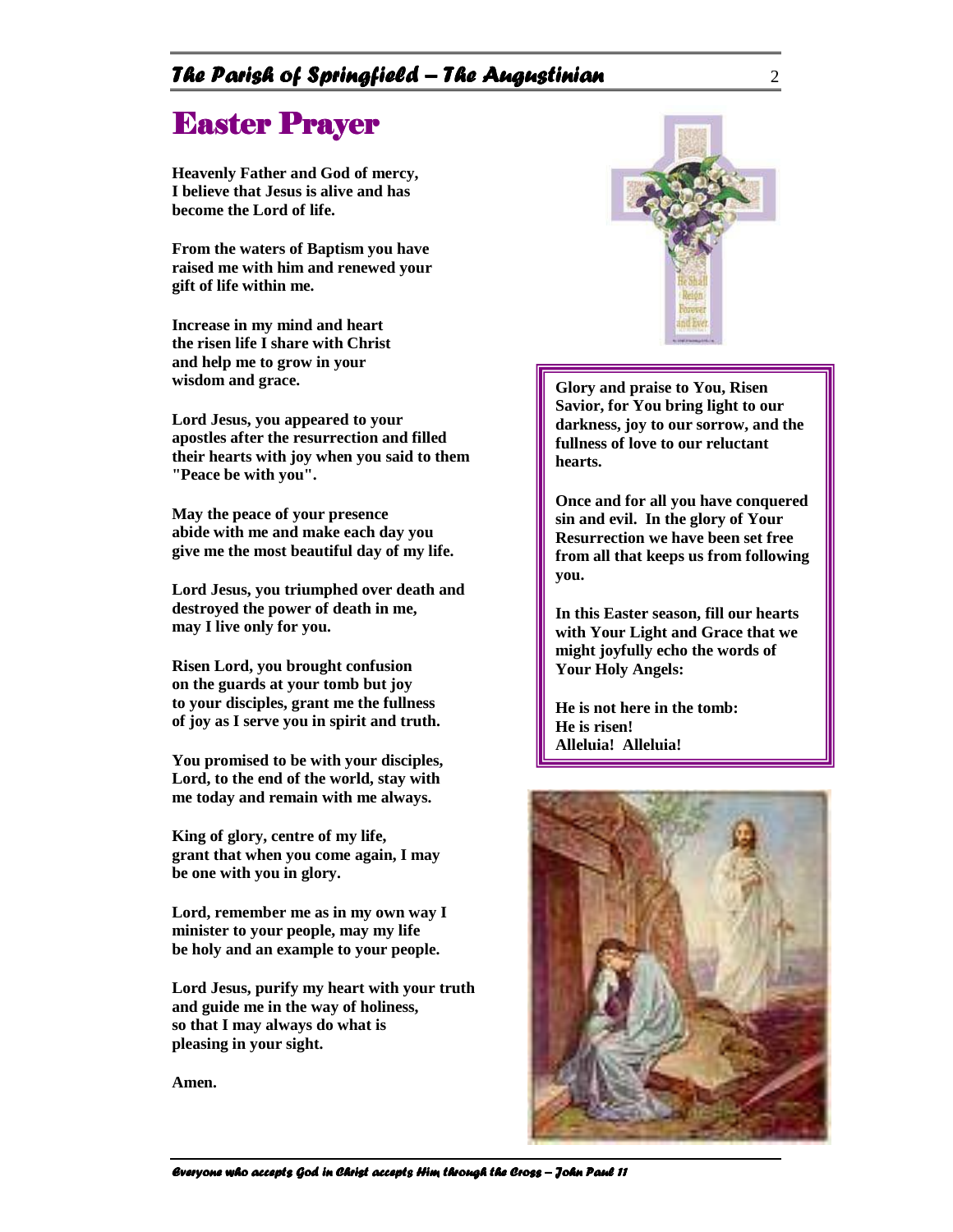#### The Parish of Springfield – The Augustinian  $\frac{2}{\pi}$

## Easter Prayer

**Heavenly Father and God of mercy, I believe that Jesus is alive and has become the Lord of life.**

**From the waters of Baptism you have raised me with him and renewed your gift of life within me.**

**Increase in my mind and heart the risen life I share with Christ and help me to grow in your wisdom and grace.**

**Lord Jesus, you appeared to your apostles after the resurrection and filled their hearts with joy when you said to them "Peace be with you".**

**May the peace of your presence abide with me and make each day you give me the most beautiful day of my life.**

**Lord Jesus, you triumphed over death and destroyed the power of death in me, may I live only for you.**

**Risen Lord, you brought confusion on the guards at your tomb but joy to your disciples, grant me the fullness of joy as I serve you in spirit and truth.**

**You promised to be with your disciples, Lord, to the end of the world, stay with me today and remain with me always.**

**King of glory, centre of my life, grant that when you come again, I may be one with you in glory.**

**Lord, remember me as in my own way I minister to your people, may my life be holy and an example to your people.**

**Lord Jesus, purify my heart with your truth and guide me in the way of holiness, so that I may always do what is pleasing in your sight.**

**Amen.**



**Glory and praise to You, Risen Savior, for You bring light to our darkness, joy to our sorrow, and the fullness of love to our reluctant hearts.** 

**Once and for all you have conquered sin and evil. In the glory of Your Resurrection we have been set free from all that keeps us from following you.** 

**In this Easter season, fill our hearts with Your Light and Grace that we might joyfully echo the words of Your Holy Angels:** 

**He is not here in the tomb: He is risen! Alleluia! Alleluia!**



Everyone who accepts God in Christ accepts Him through the Cross – John Paul 11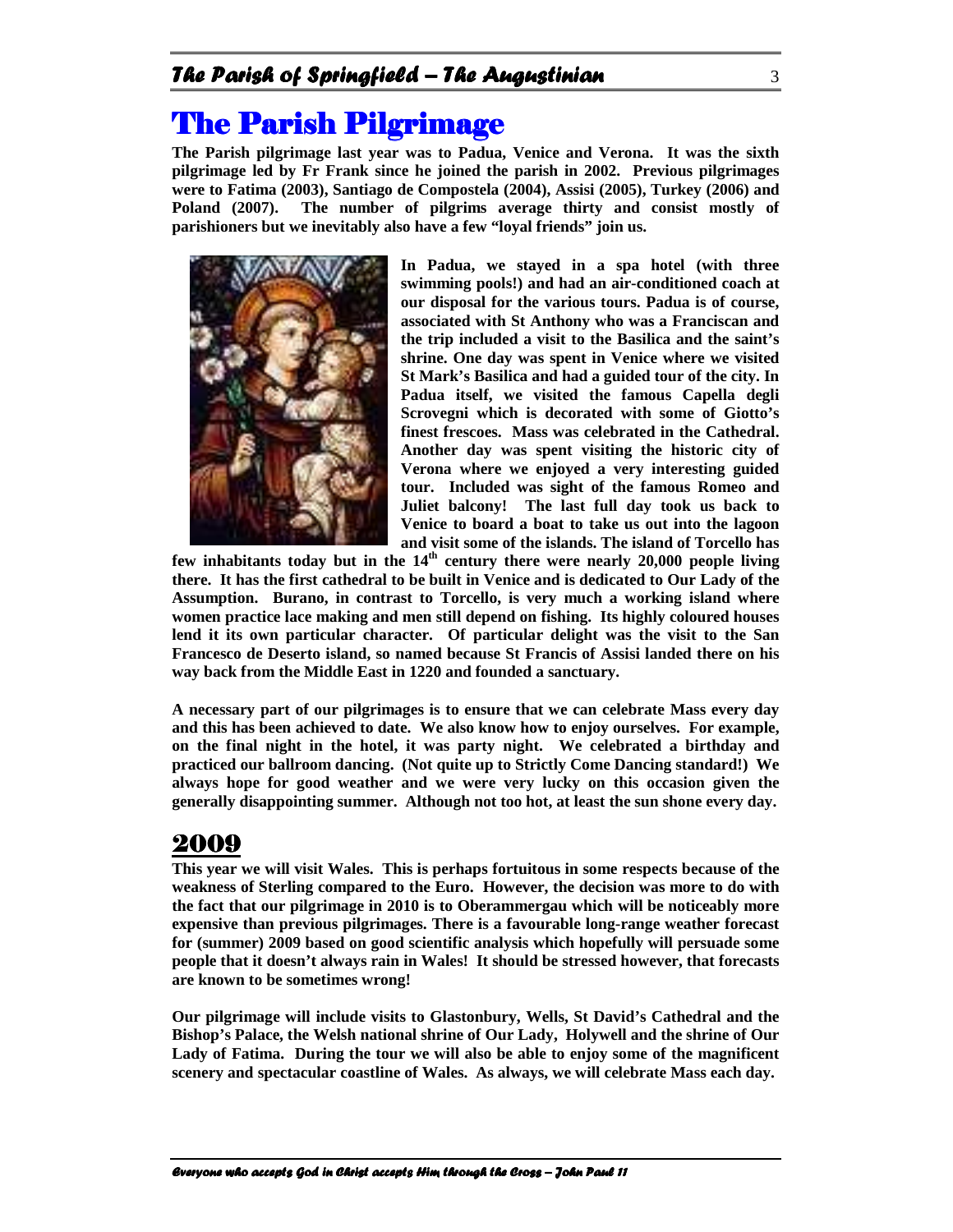## **The Parish Pilgrimage**

**The Parish pilgrimage last year was to Padua, Venice and Verona. It was the sixth pilgrimage led by Fr Frank since he joined the parish in 2002. Previous pilgrimages were to Fatima (2003), Santiago de Compostela (2004), Assisi (2005), Turkey (2006) and Poland (2007). The number of pilgrims average thirty and consist mostly of parishioners but we inevitably also have a few "loyal friends" join us.** 



**In Padua, we stayed in a spa hotel (with three swimming pools!) and had an air-conditioned coach at our disposal for the various tours. Padua is of course, associated with St Anthony who was a Franciscan and the trip included a visit to the Basilica and the saint's shrine. One day was spent in Venice where we visited St Mark's Basilica and had a guided tour of the city. In Padua itself, we visited the famous Capella degli Scrovegni which is decorated with some of Giotto's finest frescoes. Mass was celebrated in the Cathedral. Another day was spent visiting the historic city of Verona where we enjoyed a very interesting guided tour. Included was sight of the famous Romeo and Juliet balcony! The last full day took us back to Venice to board a boat to take us out into the lagoon and visit some of the islands. The island of Torcello has** 

**few inhabitants today but in the 14th century there were nearly 20,000 people living there. It has the first cathedral to be built in Venice and is dedicated to Our Lady of the Assumption. Burano, in contrast to Torcello, is very much a working island where women practice lace making and men still depend on fishing. Its highly coloured houses lend it its own particular character. Of particular delight was the visit to the San Francesco de Deserto island, so named because St Francis of Assisi landed there on his way back from the Middle East in 1220 and founded a sanctuary.** 

**A necessary part of our pilgrimages is to ensure that we can celebrate Mass every day and this has been achieved to date. We also know how to enjoy ourselves. For example, on the final night in the hotel, it was party night. We celebrated a birthday and practiced our ballroom dancing. (Not quite up to Strictly Come Dancing standard!) We always hope for good weather and we were very lucky on this occasion given the generally disappointing summer. Although not too hot, at least the sun shone every day.** 

### 2009

**This year we will visit Wales. This is perhaps fortuitous in some respects because of the weakness of Sterling compared to the Euro. However, the decision was more to do with the fact that our pilgrimage in 2010 is to Oberammergau which will be noticeably more expensive than previous pilgrimages. There is a favourable long-range weather forecast for (summer) 2009 based on good scientific analysis which hopefully will persuade some people that it doesn't always rain in Wales! It should be stressed however, that forecasts are known to be sometimes wrong!** 

**Our pilgrimage will include visits to Glastonbury, Wells, St David's Cathedral and the Bishop's Palace, the Welsh national shrine of Our Lady, Holywell and the shrine of Our Lady of Fatima. During the tour we will also be able to enjoy some of the magnificent scenery and spectacular coastline of Wales. As always, we will celebrate Mass each day.**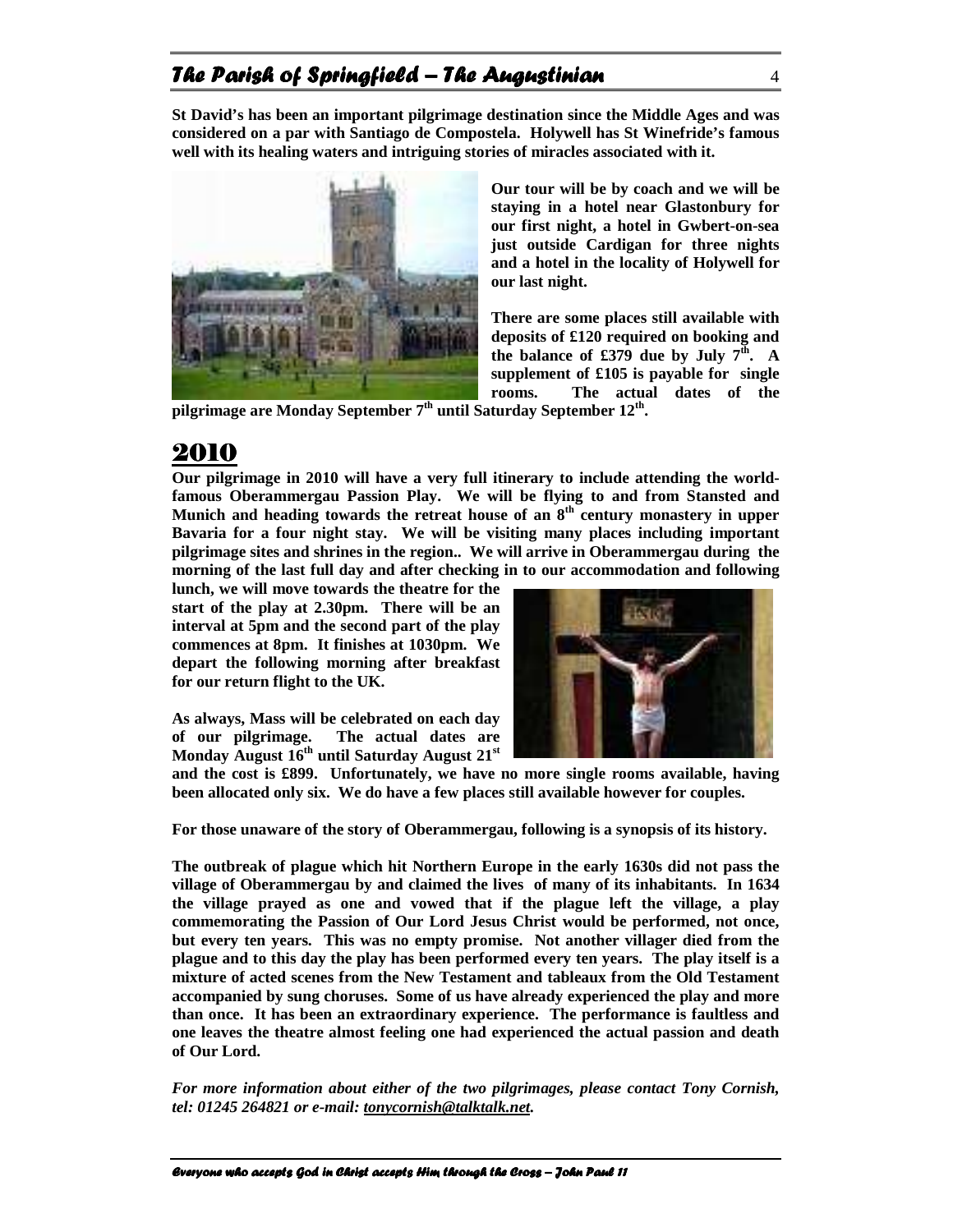### The Parish of Springfield – The Augustinian  $4\,$

**St David's has been an important pilgrimage destination since the Middle Ages and was considered on a par with Santiago de Compostela. Holywell has St Winefride's famous well with its healing waters and intriguing stories of miracles associated with it.** 



**Our tour will be by coach and we will be staying in a hotel near Glastonbury for our first night, a hotel in Gwbert-on-sea just outside Cardigan for three nights and a hotel in the locality of Holywell for our last night.** 

**There are some places still available with deposits of £120 required on booking and**  the balance of £379 due by July  $7<sup>th</sup>$ . A **supplement of £105 is payable for single rooms. The actual dates of the** 

**pilgrimage are Monday September 7th until Saturday September 12th .** 

### 2010

**Our pilgrimage in 2010 will have a very full itinerary to include attending the worldfamous Oberammergau Passion Play. We will be flying to and from Stansted and Munich and heading towards the retreat house of an 8 th century monastery in upper Bavaria for a four night stay. We will be visiting many places including important pilgrimage sites and shrines in the region.. We will arrive in Oberammergau during the morning of the last full day and after checking in to our accommodation and following** 

**lunch, we will move towards the theatre for the start of the play at 2.30pm. There will be an interval at 5pm and the second part of the play commences at 8pm. It finishes at 1030pm. We depart the following morning after breakfast for our return flight to the UK.** 

**As always, Mass will be celebrated on each day of our pilgrimage. The actual dates are Monday August 16th until Saturday August 21st**



**and the cost is £899. Unfortunately, we have no more single rooms available, having been allocated only six. We do have a few places still available however for couples.** 

**For those unaware of the story of Oberammergau, following is a synopsis of its history.** 

**The outbreak of plague which hit Northern Europe in the early 1630s did not pass the village of Oberammergau by and claimed the lives of many of its inhabitants. In 1634 the village prayed as one and vowed that if the plague left the village, a play commemorating the Passion of Our Lord Jesus Christ would be performed, not once, but every ten years. This was no empty promise. Not another villager died from the plague and to this day the play has been performed every ten years. The play itself is a mixture of acted scenes from the New Testament and tableaux from the Old Testament accompanied by sung choruses. Some of us have already experienced the play and more than once. It has been an extraordinary experience. The performance is faultless and one leaves the theatre almost feeling one had experienced the actual passion and death of Our Lord.** 

*For more information about either of the two pilgrimages, please contact Tony Cornish, tel: 01245 264821 or e-mail: tonycornish@talktalk.net.*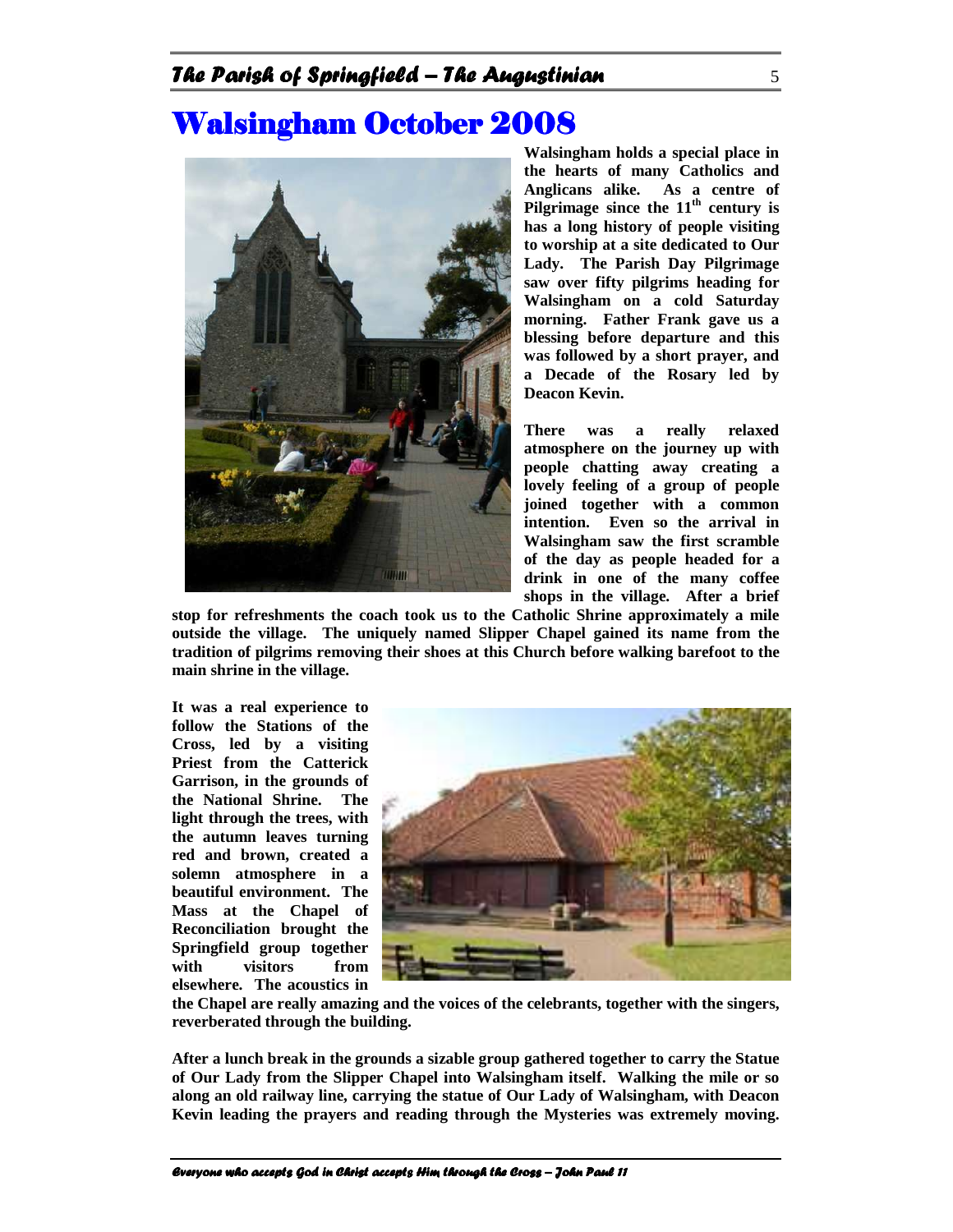## **Walsingham October 2008**



**Walsingham holds a special place in the hearts of many Catholics and Anglicans alike. As a centre of Pilgrimage since the 11th century is has a long history of people visiting to worship at a site dedicated to Our Lady. The Parish Day Pilgrimage saw over fifty pilgrims heading for Walsingham on a cold Saturday morning. Father Frank gave us a blessing before departure and this was followed by a short prayer, and a Decade of the Rosary led by Deacon Kevin.** 

**There was a really relaxed atmosphere on the journey up with people chatting away creating a lovely feeling of a group of people joined together with a common intention. Even so the arrival in Walsingham saw the first scramble of the day as people headed for a drink in one of the many coffee shops in the village. After a brief** 

**stop for refreshments the coach took us to the Catholic Shrine approximately a mile outside the village. The uniquely named Slipper Chapel gained its name from the tradition of pilgrims removing their shoes at this Church before walking barefoot to the main shrine in the village.** 

**It was a real experience to follow the Stations of the Cross, led by a visiting Priest from the Catterick Garrison, in the grounds of the National Shrine. The light through the trees, with the autumn leaves turning red and brown, created a solemn atmosphere in a beautiful environment. The Mass at the Chapel of Reconciliation brought the Springfield group together with visitors from elsewhere. The acoustics in** 



**the Chapel are really amazing and the voices of the celebrants, together with the singers, reverberated through the building.** 

**After a lunch break in the grounds a sizable group gathered together to carry the Statue of Our Lady from the Slipper Chapel into Walsingham itself. Walking the mile or so along an old railway line, carrying the statue of Our Lady of Walsingham, with Deacon Kevin leading the prayers and reading through the Mysteries was extremely moving.**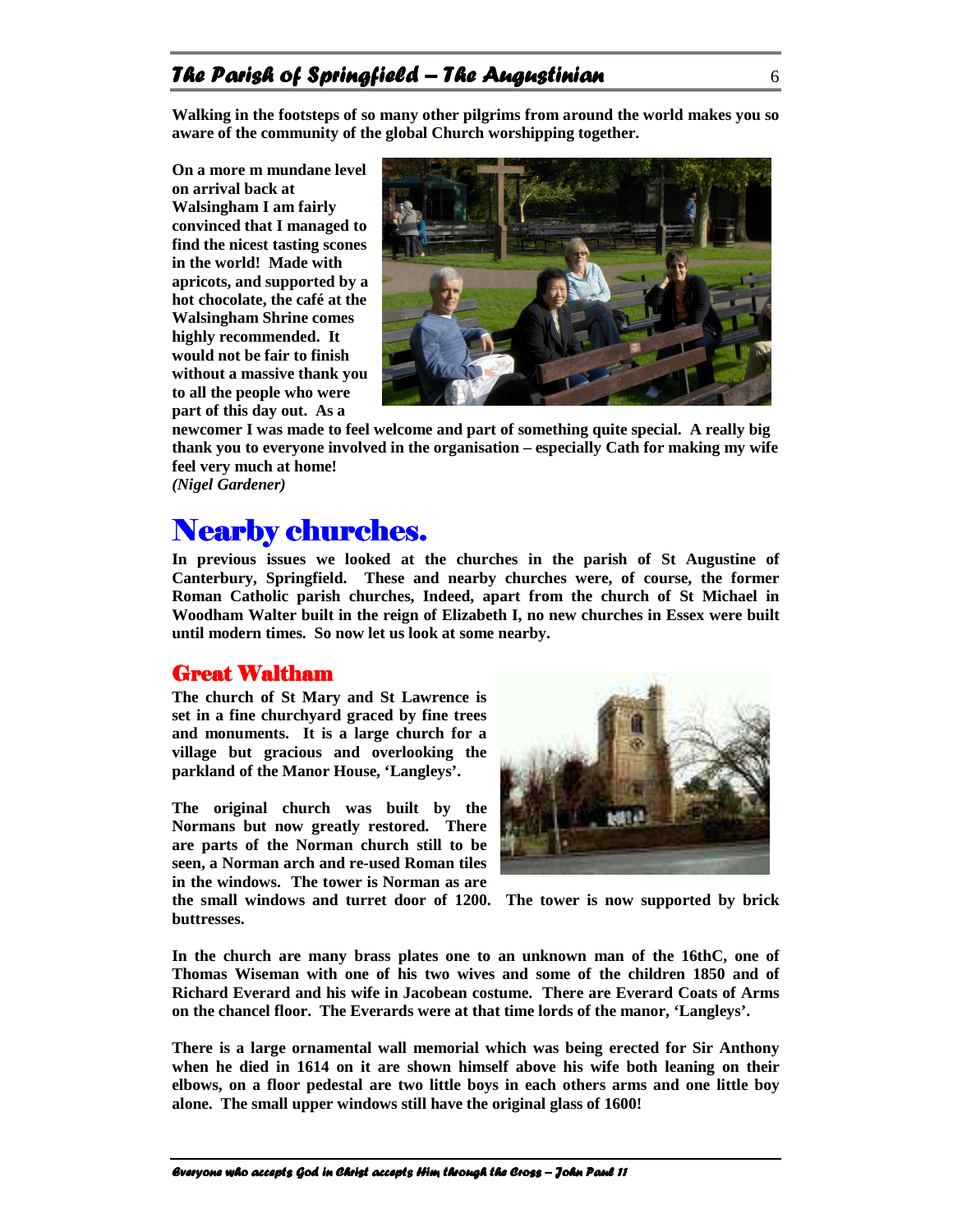#### The Parish of Springfield – The Augustinian  $6\,$

**Walking in the footsteps of so many other pilgrims from around the world makes you so aware of the community of the global Church worshipping together.**

**On a more m mundane level on arrival back at Walsingham I am fairly convinced that I managed to find the nicest tasting scones in the world! Made with apricots, and supported by a hot chocolate, the café at the Walsingham Shrine comes highly recommended. It would not be fair to finish without a massive thank you to all the people who were part of this day out. As a** 



**newcomer I was made to feel welcome and part of something quite special. A really big thank you to everyone involved in the organisation – especially Cath for making my wife feel very much at home!** 

*(Nigel Gardener)* 

### Nearby churches.

**In previous issues we looked at the churches in the parish of St Augustine of Canterbury, Springfield. These and nearby churches were, of course, the former Roman Catholic parish churches, Indeed, apart from the church of St Michael in Woodham Walter built in the reign of Elizabeth I, no new churches in Essex were built until modern times. So now let us look at some nearby.** 

#### **Great Waltham**

**The church of St Mary and St Lawrence is set in a fine churchyard graced by fine trees and monuments. It is a large church for a village but gracious and overlooking the parkland of the Manor House, 'Langleys'.**

**The original church was built by the Normans but now greatly restored. There are parts of the Norman church still to be seen, a Norman arch and re-used Roman tiles in the windows. The tower is Norman as are the small windows and turret door of 1200. The tower is now supported by brick buttresses.** 



In the church are many brass plates one to an unknown man of the 16thC, one of **Thomas Wiseman with one of his two wives and some of the children 1850 and of Richard Everard and his wife in Jacobean costume. There are Everard Coats of Arms on the chancel floor. The Everards were at that time lords of the manor, 'Langleys'.** 

**There is a large ornamental wall memorial which was being erected for Sir Anthony when he died in 1614 on it are shown himself above his wife both leaning on their elbows, on a floor pedestal are two little boys in each others arms and one little boy alone. The small upper windows still have the original glass of 1600!**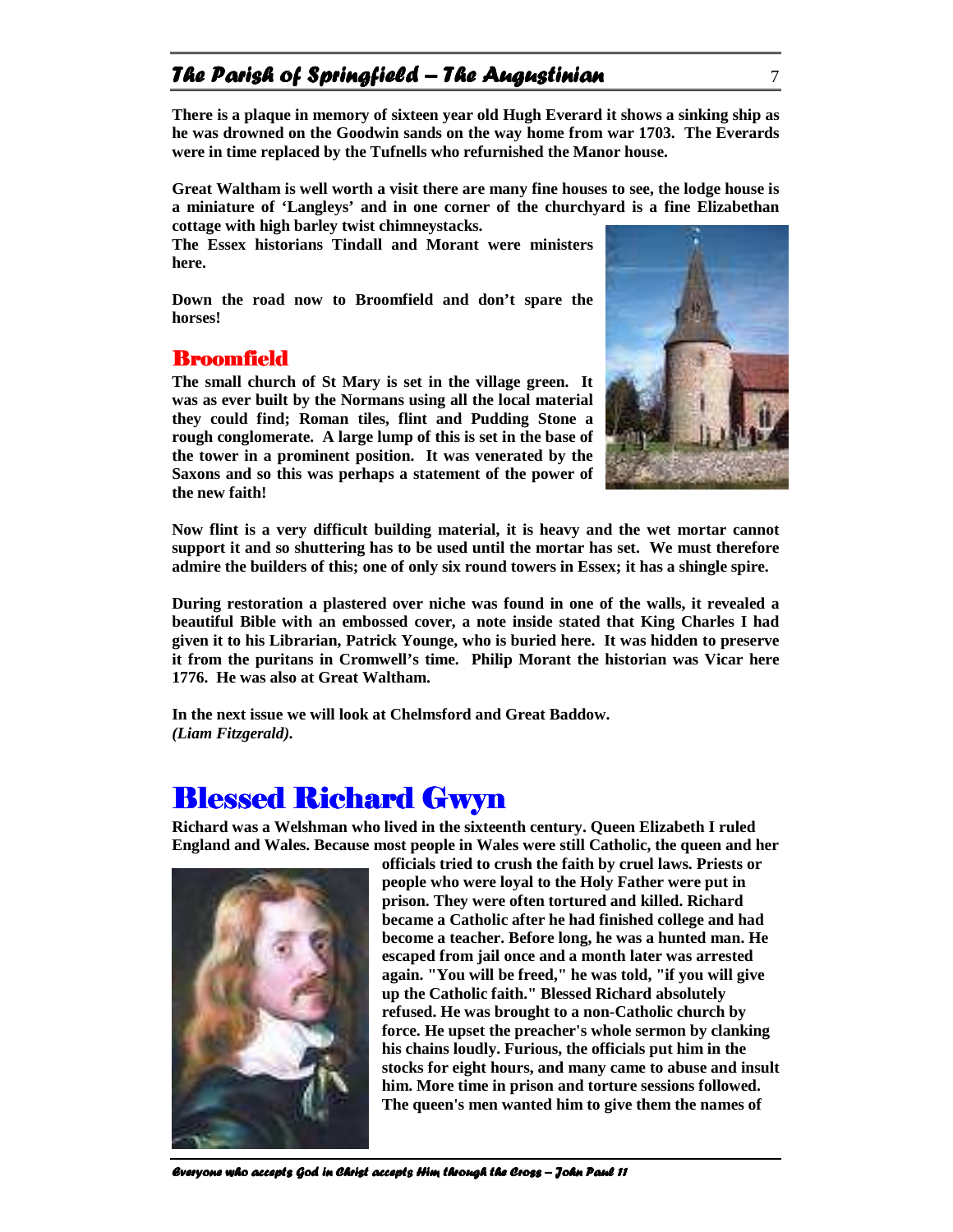### The Parish of Springfield – The Augustinian  $\frac{7}{4}$

**There is a plaque in memory of sixteen year old Hugh Everard it shows a sinking ship as he was drowned on the Goodwin sands on the way home from war 1703. The Everards were in time replaced by the Tufnells who refurnished the Manor house.** 

**Great Waltham is well worth a visit there are many fine houses to see, the lodge house is a miniature of 'Langleys' and in one corner of the churchyard is a fine Elizabethan cottage with high barley twist chimneystacks.** 

**The Essex historians Tindall and Morant were ministers here.** 

**Down the road now to Broomfield and don't spare the horses!** 

#### **Broomfield**

**The small church of St Mary is set in the village green. It was as ever built by the Normans using all the local material they could find; Roman tiles, flint and Pudding Stone a rough conglomerate. A large lump of this is set in the base of the tower in a prominent position. It was venerated by the Saxons and so this was perhaps a statement of the power of the new faith!** 



**Now flint is a very difficult building material, it is heavy and the wet mortar cannot support it and so shuttering has to be used until the mortar has set. We must therefore admire the builders of this; one of only six round towers in Essex; it has a shingle spire.** 

**During restoration a plastered over niche was found in one of the walls, it revealed a beautiful Bible with an embossed cover, a note inside stated that King Charles I had given it to his Librarian, Patrick Younge, who is buried here. It was hidden to preserve it from the puritans in Cromwell's time. Philip Morant the historian was Vicar here 1776. He was also at Great Waltham.**

**In the next issue we will look at Chelmsford and Great Baddow.**  *(Liam Fitzgerald).* 

### Blessed Richard Gwyn

**Richard was a Welshman who lived in the sixteenth century. Queen Elizabeth I ruled England and Wales. Because most people in Wales were still Catholic, the queen and her** 



**officials tried to crush the faith by cruel laws. Priests or people who were loyal to the Holy Father were put in prison. They were often tortured and killed. Richard became a Catholic after he had finished college and had become a teacher. Before long, he was a hunted man. He escaped from jail once and a month later was arrested again. "You will be freed," he was told, "if you will give up the Catholic faith." Blessed Richard absolutely refused. He was brought to a non-Catholic church by force. He upset the preacher's whole sermon by clanking his chains loudly. Furious, the officials put him in the stocks for eight hours, and many came to abuse and insult him. More time in prison and torture sessions followed. The queen's men wanted him to give them the names of**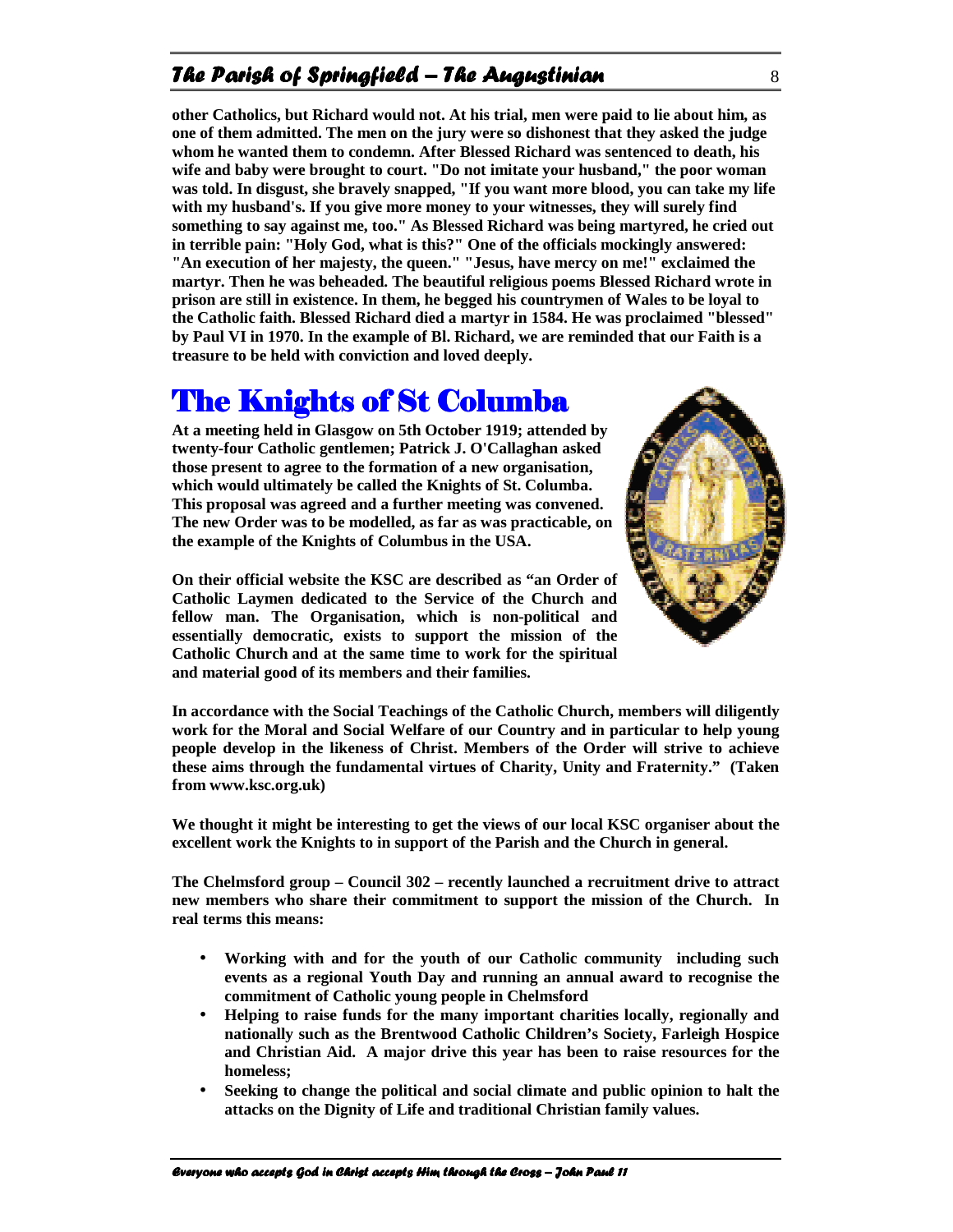### The Parish of Springfield – The Augustinian  $\frac{8}{100}$

**other Catholics, but Richard would not. At his trial, men were paid to lie about him, as one of them admitted. The men on the jury were so dishonest that they asked the judge whom he wanted them to condemn. After Blessed Richard was sentenced to death, his wife and baby were brought to court. "Do not imitate your husband," the poor woman was told. In disgust, she bravely snapped, "If you want more blood, you can take my life with my husband's. If you give more money to your witnesses, they will surely find something to say against me, too." As Blessed Richard was being martyred, he cried out in terrible pain: "Holy God, what is this?" One of the officials mockingly answered: "An execution of her majesty, the queen." "Jesus, have mercy on me!" exclaimed the martyr. Then he was beheaded. The beautiful religious poems Blessed Richard wrote in prison are still in existence. In them, he begged his countrymen of Wales to be loyal to the Catholic faith. Blessed Richard died a martyr in 1584. He was proclaimed "blessed" by Paul VI in 1970. In the example of Bl. Richard, we are reminded that our Faith is a treasure to be held with conviction and loved deeply.**

## The Knights of St Columba

**At a meeting held in Glasgow on 5th October 1919; attended by twenty-four Catholic gentlemen; Patrick J. O'Callaghan asked those present to agree to the formation of a new organisation, which would ultimately be called the Knights of St. Columba. This proposal was agreed and a further meeting was convened. The new Order was to be modelled, as far as was practicable, on the example of the Knights of Columbus in the USA.** 

**On their official website the KSC are described as "an Order of Catholic Laymen dedicated to the Service of the Church and fellow man. The Organisation, which is non-political and essentially democratic, exists to support the mission of the Catholic Church and at the same time to work for the spiritual and material good of its members and their families.** 



**In accordance with the Social Teachings of the Catholic Church, members will diligently work for the Moral and Social Welfare of our Country and in particular to help young people develop in the likeness of Christ. Members of the Order will strive to achieve these aims through the fundamental virtues of Charity, Unity and Fraternity." (Taken from www.ksc.org.uk)** 

**We thought it might be interesting to get the views of our local KSC organiser about the excellent work the Knights to in support of the Parish and the Church in general.** 

**The Chelmsford group – Council 302 – recently launched a recruitment drive to attract new members who share their commitment to support the mission of the Church. In real terms this means:** 

- **Working with and for the youth of our Catholic community including such events as a regional Youth Day and running an annual award to recognise the commitment of Catholic young people in Chelmsford**
- **Helping to raise funds for the many important charities locally, regionally and nationally such as the Brentwood Catholic Children's Society, Farleigh Hospice and Christian Aid. A major drive this year has been to raise resources for the homeless;**
- **Seeking to change the political and social climate and public opinion to halt the attacks on the Dignity of Life and traditional Christian family values.**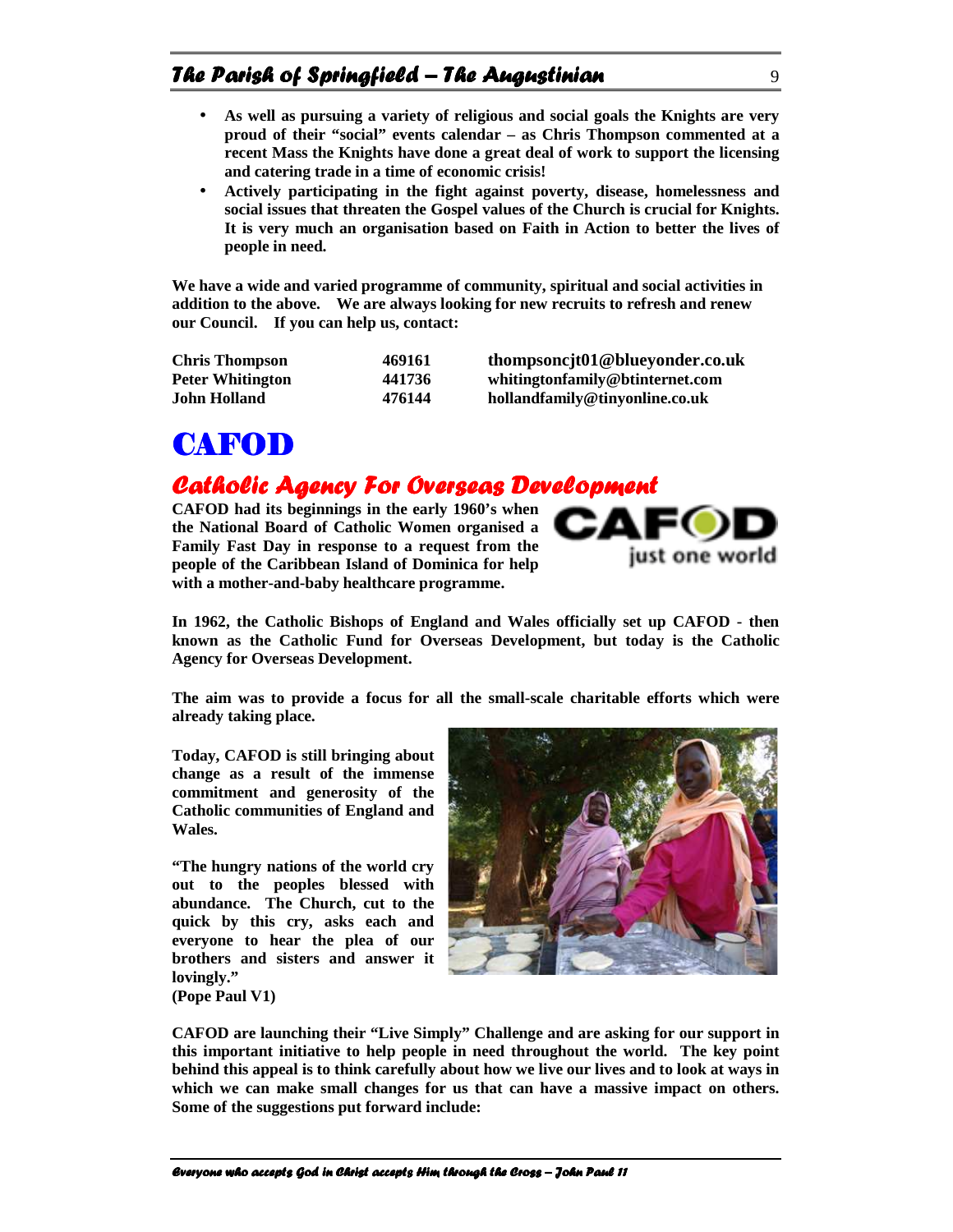- **As well as pursuing a variety of religious and social goals the Knights are very proud of their "social" events calendar – as Chris Thompson commented at a recent Mass the Knights have done a great deal of work to support the licensing and catering trade in a time of economic crisis!**
- **Actively participating in the fight against poverty, disease, homelessness and social issues that threaten the Gospel values of the Church is crucial for Knights. It is very much an organisation based on Faith in Action to better the lives of people in need.**

**We have a wide and varied programme of community, spiritual and social activities in addition to the above. We are always looking for new recruits to refresh and renew our Council. If you can help us, contact:** 

| <b>Chris Thompson</b>   | 469161 | thompsoncjt01@blueyonder.co.uk  |
|-------------------------|--------|---------------------------------|
| <b>Peter Whitington</b> | 441736 | whitingtonfamily@btinternet.com |
| John Holland            | 476144 | hollandfamily@tinyonline.co.uk  |

## **CAFOD**

### Catholic Agency For Overseas Development

**CAFOD had its beginnings in the early 1960's when the National Board of Catholic Women organised a Family Fast Day in response to a request from the people of the Caribbean Island of Dominica for help with a mother-and-baby healthcare programme.** 



**In 1962, the Catholic Bishops of England and Wales officially set up CAFOD - then known as the Catholic Fund for Overseas Development, but today is the Catholic Agency for Overseas Development.** 

**The aim was to provide a focus for all the small-scale charitable efforts which were already taking place.** 

**Today, CAFOD is still bringing about change as a result of the immense commitment and generosity of the Catholic communities of England and Wales.** 

**"The hungry nations of the world cry out to the peoples blessed with abundance. The Church, cut to the quick by this cry, asks each and everyone to hear the plea of our brothers and sisters and answer it lovingly." (Pope Paul V1)** 



**CAFOD are launching their "Live Simply" Challenge and are asking for our support in this important initiative to help people in need throughout the world. The key point behind this appeal is to think carefully about how we live our lives and to look at ways in which we can make small changes for us that can have a massive impact on others. Some of the suggestions put forward include:**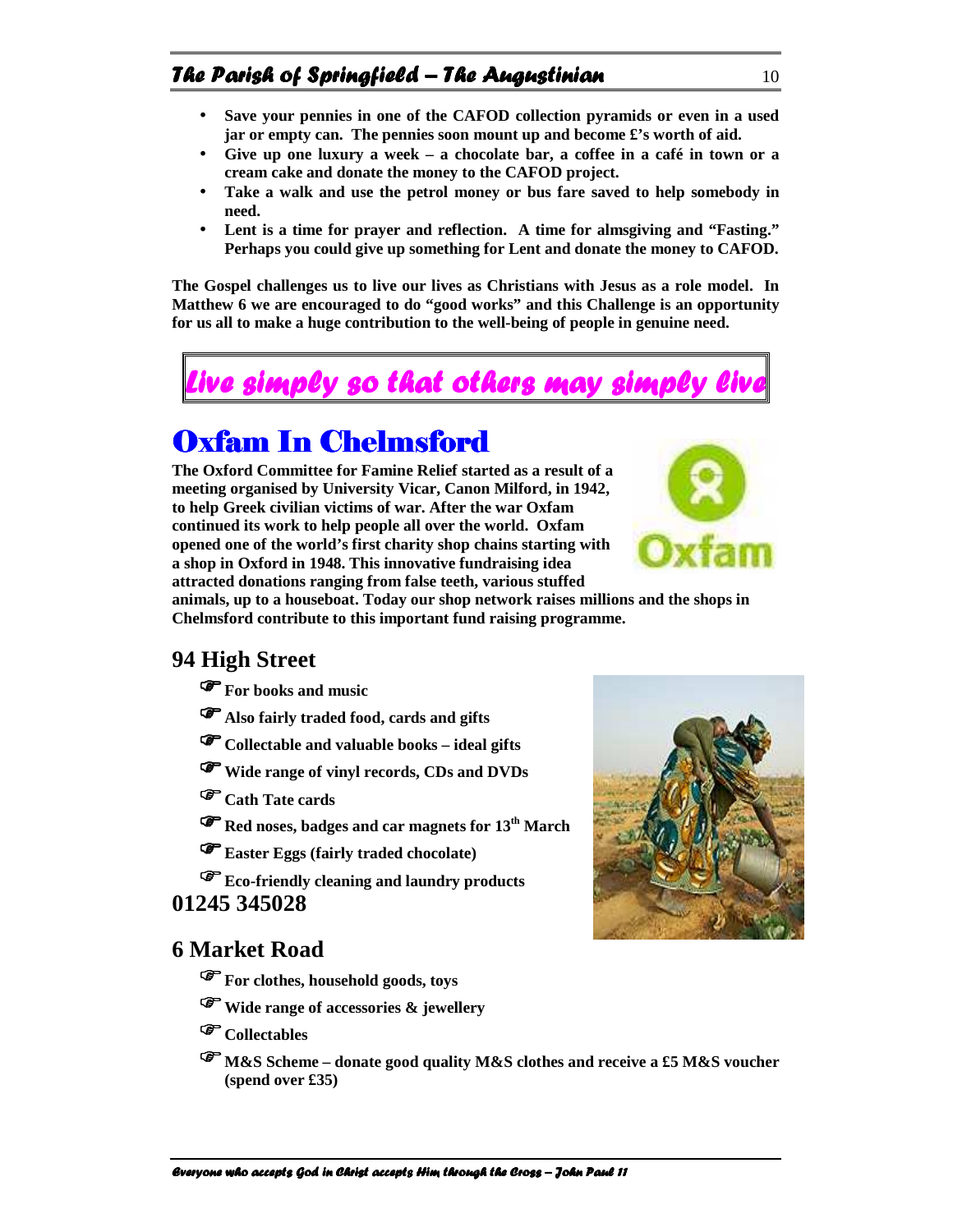- **Save your pennies in one of the CAFOD collection pyramids or even in a used jar or empty can. The pennies soon mount up and become £'s worth of aid.**
- **Give up one luxury a week a chocolate bar, a coffee in a café in town or a cream cake and donate the money to the CAFOD project.**
- **Take a walk and use the petrol money or bus fare saved to help somebody in need.**
- **Lent is a time for prayer and reflection. A time for almsgiving and "Fasting." Perhaps you could give up something for Lent and donate the money to CAFOD.**

**The Gospel challenges us to live our lives as Christians with Jesus as a role model. In Matthew 6 we are encouraged to do "good works" and this Challenge is an opportunity for us all to make a huge contribution to the well-being of people in genuine need.** 



## Oxfam In Chelmsford

**The Oxford Committee for Famine Relief started as a result of a meeting organised by University Vicar, Canon Milford, in 1942, to help Greek civilian victims of war. After the war Oxfam continued its work to help people all over the world. Oxfam opened one of the world's first charity shop chains starting with a shop in Oxford in 1948. This innovative fundraising idea attracted donations ranging from false teeth, various stuffed** 



**animals, up to a houseboat. Today our shop network raises millions and the shops in Chelmsford contribute to this important fund raising programme.**

#### **94 High Street**

**For books and music** 

- **Also fairly traded food, cards and gifts**
- **Collectable and valuable books ideal gifts**
- **Wide range of vinyl records, CDs and DVDs**
- **Cath Tate cards**
- **Red noses, badges and car magnets for 13th March**
- **Easter Eggs (fairly traded chocolate)**

**Eco-friendly cleaning and laundry products**

#### **01245 345028**

#### **6 Market Road**

- **For clothes, household goods, toys**
- **Wide range of accessories & jewellery**
- **Collectables**
- **M&S Scheme donate good quality M&S clothes and receive a £5 M&S voucher (spend over £35)**

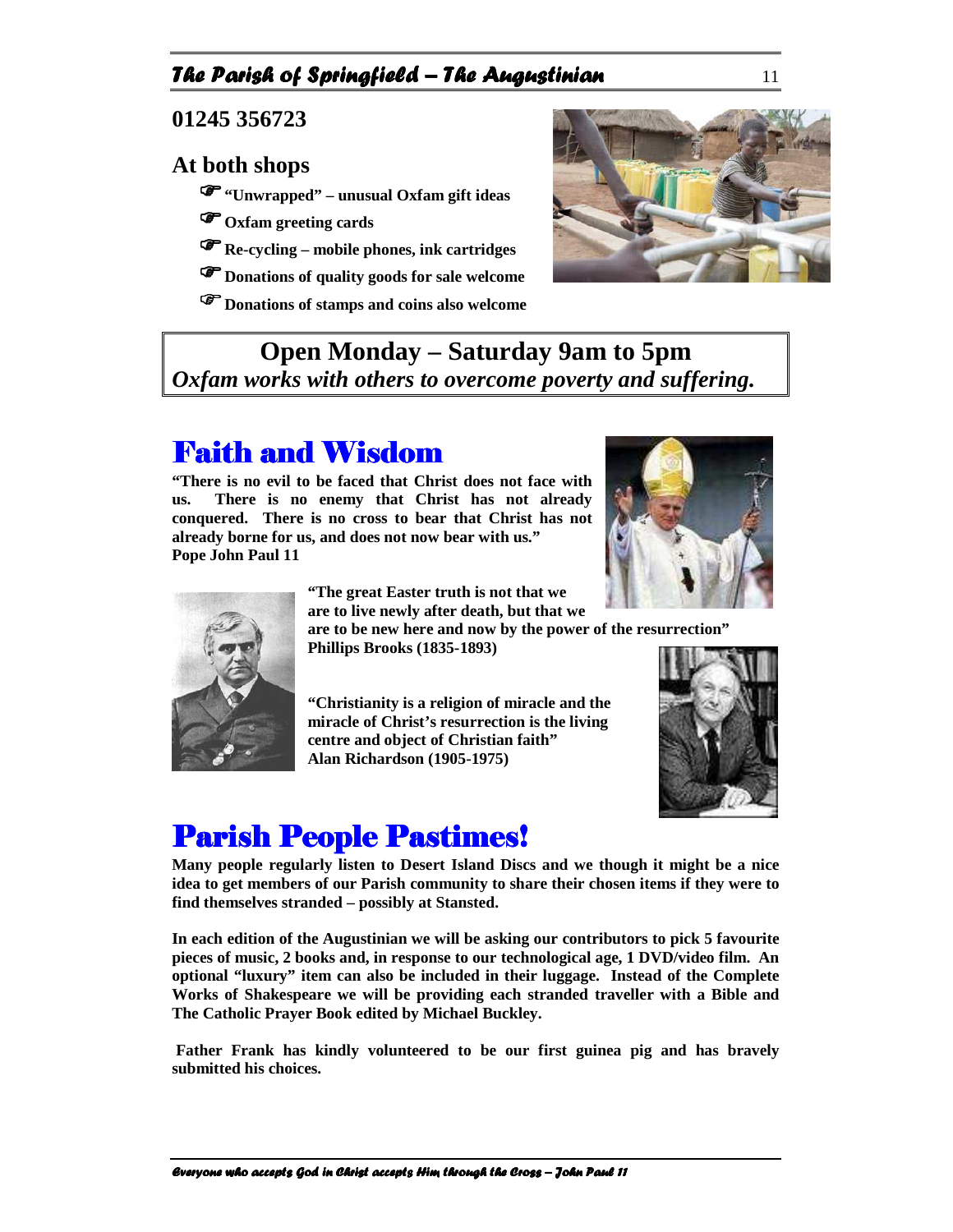#### The Parish of Springfield – The Augustinian  $11$

**01245 356723** 

#### **At both shops**

**"Unwrapped" – unusual Oxfam gift ideas**

- **Oxfam greeting cards**
- **Re-cycling mobile phones, ink cartridges**
- **Donations of quality goods for sale welcome**
- **Donations of stamps and coins also welcome**



### **Open Monday – Saturday 9am to 5pm**  *Oxfam works with others to overcome poverty and suffering.*

## **Faith and Wisdom**

**"There is no evil to be faced that Christ does not face with us. There is no enemy that Christ has not already conquered. There is no cross to bear that Christ has not already borne for us, and does not now bear with us." Pope John Paul 11** 





**"The great Easter truth is not that we are to live newly after death, but that we** 

**are to be new here and now by the power of the resurrection" Phillips Brooks (1835-1893)** 

**"Christianity is a religion of miracle and the miracle of Christ's resurrection is the living centre and object of Christian faith" Alan Richardson (1905-1975)** 



## **Parish People Pastimes!**

**Many people regularly listen to Desert Island Discs and we though it might be a nice idea to get members of our Parish community to share their chosen items if they were to find themselves stranded – possibly at Stansted.** 

**In each edition of the Augustinian we will be asking our contributors to pick 5 favourite pieces of music, 2 books and, in response to our technological age, 1 DVD/video film. An optional "luxury" item can also be included in their luggage. Instead of the Complete Works of Shakespeare we will be providing each stranded traveller with a Bible and The Catholic Prayer Book edited by Michael Buckley.** 

 **Father Frank has kindly volunteered to be our first guinea pig and has bravely submitted his choices.**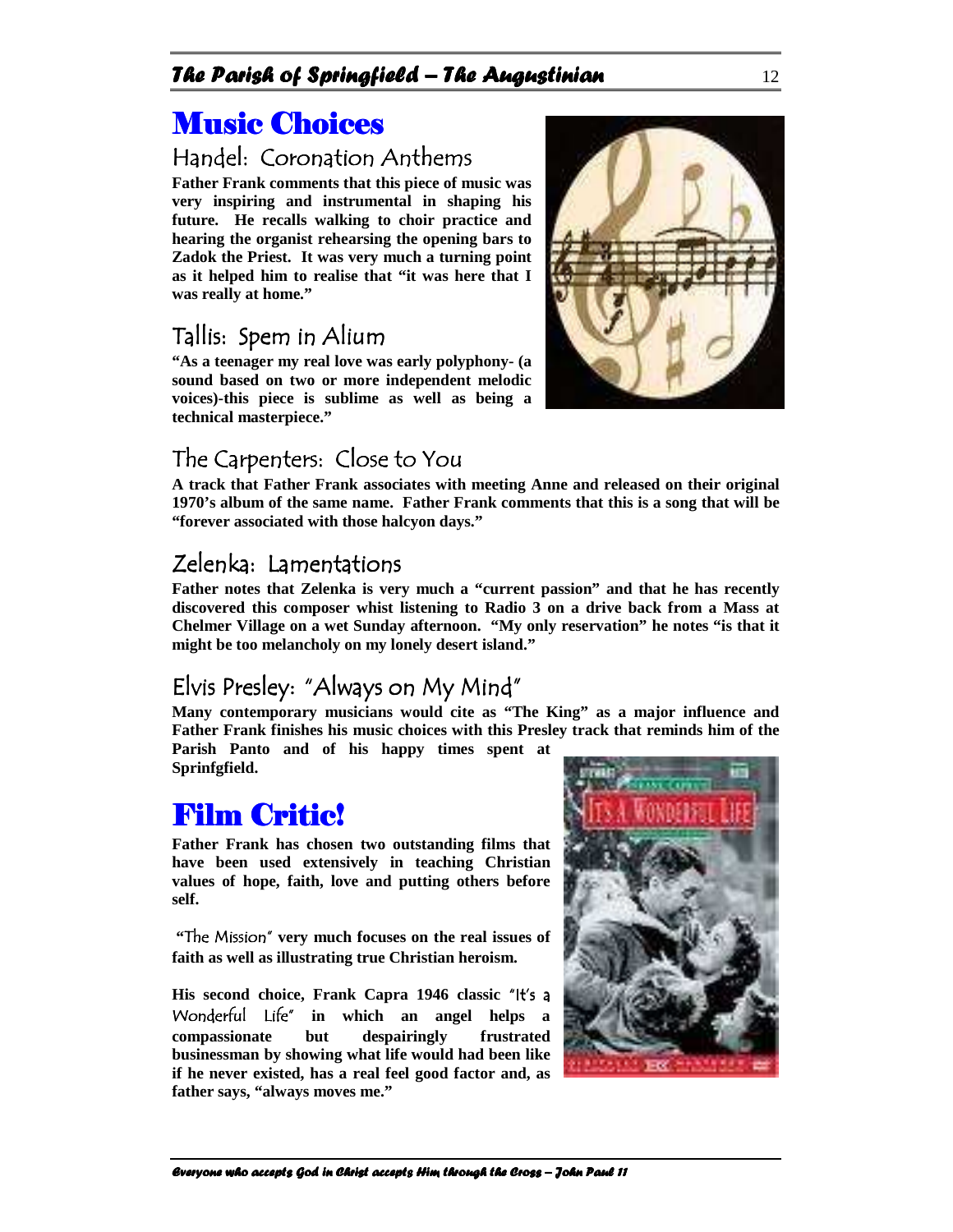## Music Choices

### Handel: Coronation Anthems

**Father Frank comments that this piece of music was very inspiring and instrumental in shaping his future. He recalls walking to choir practice and hearing the organist rehearsing the opening bars to Zadok the Priest. It was very much a turning point as it helped him to realise that "it was here that I was really at home."** 

### Tallis: Spem in Alium

**"As a teenager my real love was early polyphony- (a sound based on two or more independent melodic voices)-this piece is sublime as well as being a technical masterpiece."** 

### The Carpenters: Close to You

**A track that Father Frank associates with meeting Anne and released on their original 1970's album of the same name. Father Frank comments that this is a song that will be "forever associated with those halcyon days."** 

### Zelenka: Lamentations

**Father notes that Zelenka is very much a "current passion" and that he has recently discovered this composer whist listening to Radio 3 on a drive back from a Mass at Chelmer Village on a wet Sunday afternoon. "My only reservation" he notes "is that it might be too melancholy on my lonely desert island."** 

## Elvis Presley: "Always on My Mind"

**Many contemporary musicians would cite as "The King" as a major influence and Father Frank finishes his music choices with this Presley track that reminds him of the** 

**Parish Panto and of his happy times spent at Sprinfgfield.** 

## **Film Critic!**

**Father Frank has chosen two outstanding films that have been used extensively in teaching Christian values of hope, faith, love and putting others before self.** 

**"The Mission" very much focuses on the real issues of faith as well as illustrating true Christian heroism.** 

**His second choice, Frank Capra 1946 classic** "It's a Wonderful Life" **in which an angel helps a compassionate but despairingly frustrated businessman by showing what life would had been like if he never existed, has a real feel good factor and, as father says, "always moves me."** 



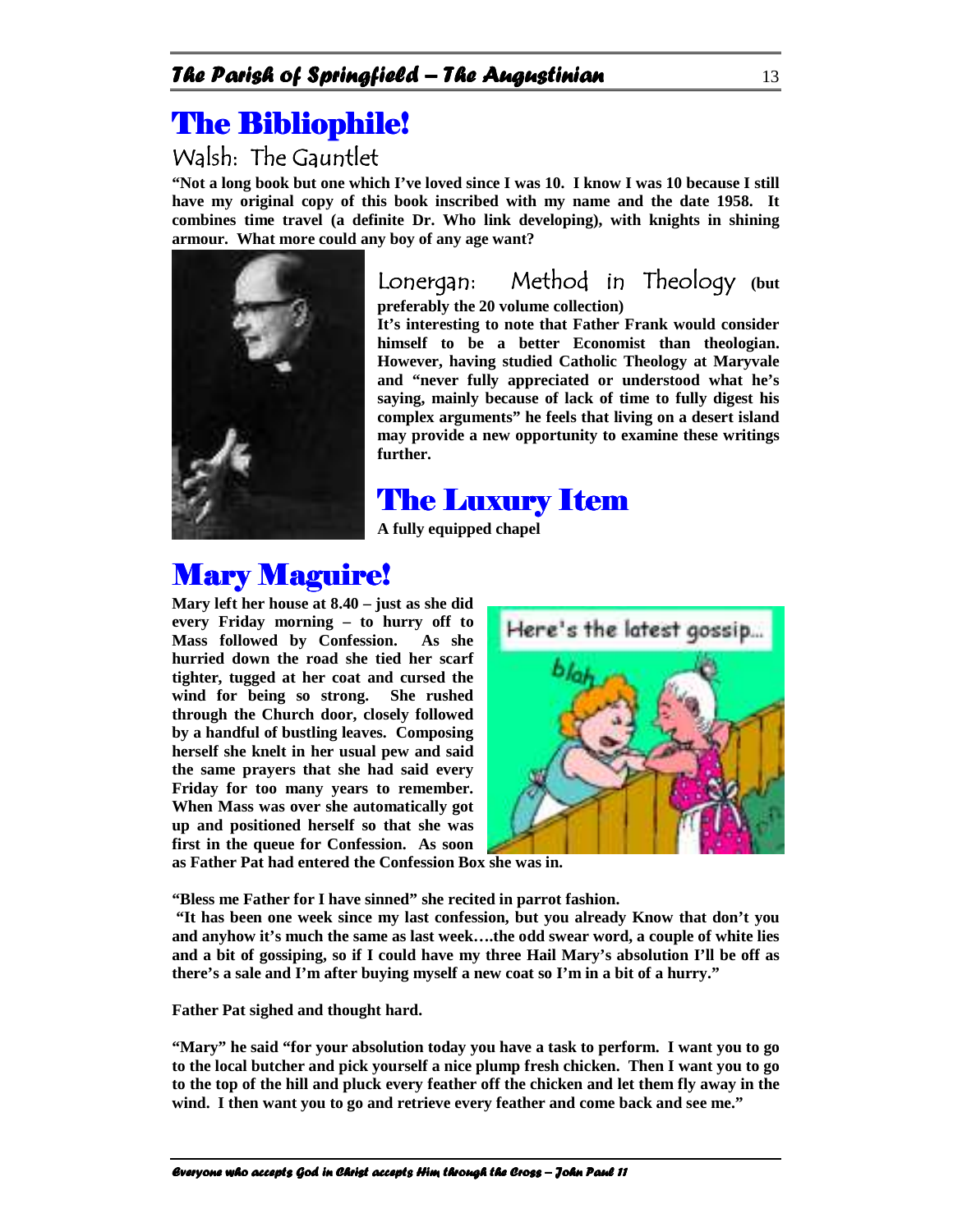## **The Bibliophile!**

## Walsh: The Gauntlet

**"Not a long book but one which I've loved since I was 10. I know I was 10 because I still have my original copy of this book inscribed with my name and the date 1958. It combines time travel (a definite Dr. Who link developing), with knights in shining armour. What more could any boy of any age want?** 



Lonergan: Method in Theology **(but** 

**preferably the 20 volume collection)** 

**It's interesting to note that Father Frank would consider himself to be a better Economist than theologian. However, having studied Catholic Theology at Maryvale and "never fully appreciated or understood what he's saying, mainly because of lack of time to fully digest his complex arguments" he feels that living on a desert island may provide a new opportunity to examine these writings further.** 

## The Luxury Item

**A fully equipped chapel** 

## **Mary Maguire!**

**Mary left her house at 8.40 – just as she did every Friday morning – to hurry off to Mass followed by Confession. As she hurried down the road she tied her scarf tighter, tugged at her coat and cursed the wind for being so strong. She rushed through the Church door, closely followed by a handful of bustling leaves. Composing herself she knelt in her usual pew and said the same prayers that she had said every Friday for too many years to remember. When Mass was over she automatically got up and positioned herself so that she was first in the queue for Confession. As soon** 



**as Father Pat had entered the Confession Box she was in.** 

**"Bless me Father for I have sinned" she recited in parrot fashion.** 

 **"It has been one week since my last confession, but you already Know that don't you and anyhow it's much the same as last week….the odd swear word, a couple of white lies and a bit of gossiping, so if I could have my three Hail Mary's absolution I'll be off as there's a sale and I'm after buying myself a new coat so I'm in a bit of a hurry."** 

**Father Pat sighed and thought hard.** 

**"Mary" he said "for your absolution today you have a task to perform. I want you to go to the local butcher and pick yourself a nice plump fresh chicken. Then I want you to go to the top of the hill and pluck every feather off the chicken and let them fly away in the wind. I then want you to go and retrieve every feather and come back and see me."**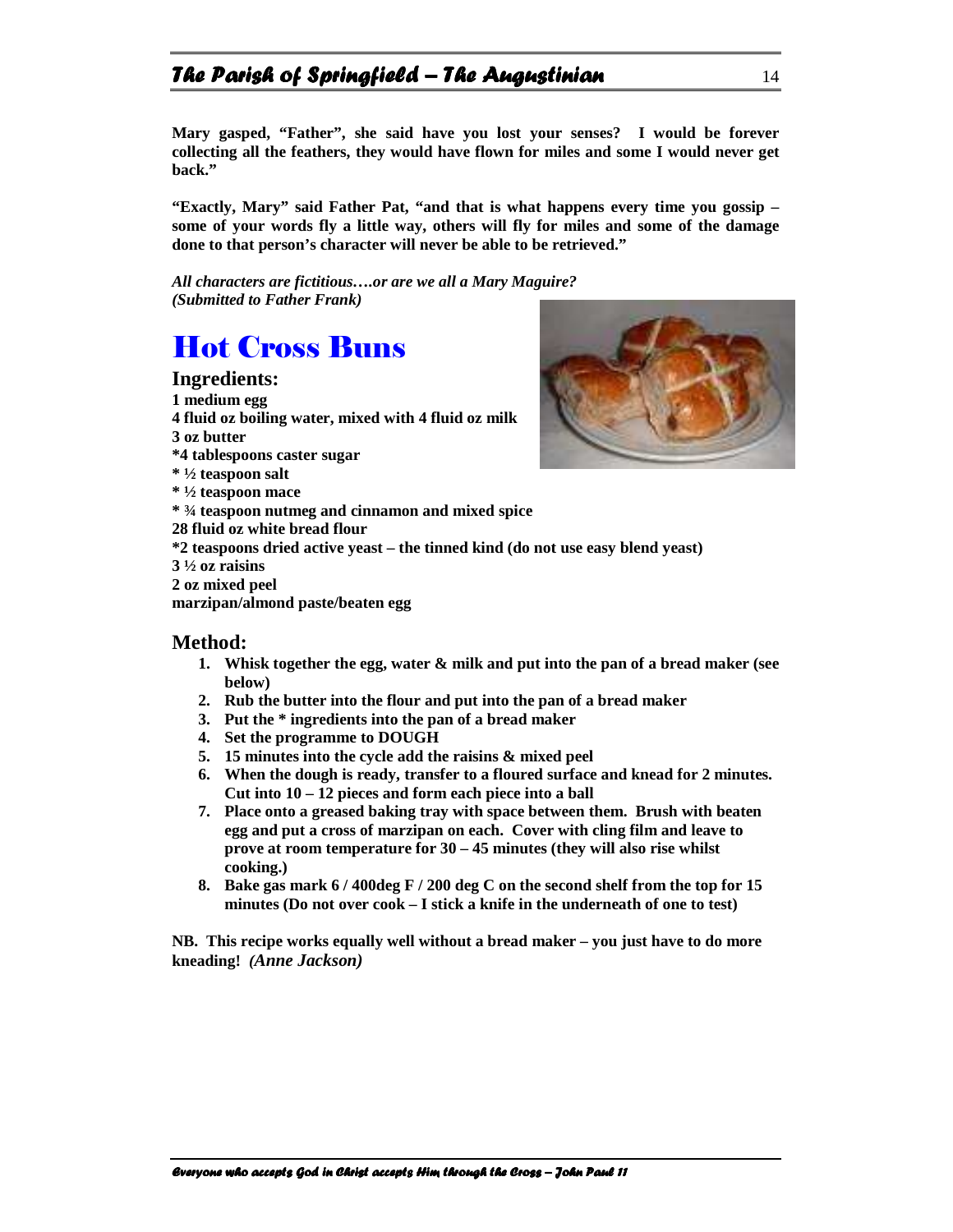### The Parish of Springfield – The Augustinian  $14$

**Mary gasped, "Father", she said have you lost your senses? I would be forever collecting all the feathers, they would have flown for miles and some I would never get back."** 

**"Exactly, Mary" said Father Pat, "and that is what happens every time you gossip – some of your words fly a little way, others will fly for miles and some of the damage done to that person's character will never be able to be retrieved."** 

*All characters are fictitious….or are we all a Mary Maguire? (Submitted to Father Frank)* 

## Hot Cross Buns

#### **Ingredients:**

**1 medium egg 4 fluid oz boiling water, mixed with 4 fluid oz milk 3 oz butter \*4 tablespoons caster sugar \* ½ teaspoon salt \* ½ teaspoon mace \* ¾ teaspoon nutmeg and cinnamon and mixed spice 28 fluid oz white bread flour \*2 teaspoons dried active yeast – the tinned kind (do not use easy blend yeast) 3 ½ oz raisins 2 oz mixed peel** 

**marzipan/almond paste/beaten egg** 

#### **Method:**

- **1. Whisk together the egg, water & milk and put into the pan of a bread maker (see below)**
- **2. Rub the butter into the flour and put into the pan of a bread maker**
- **3. Put the \* ingredients into the pan of a bread maker**
- **4. Set the programme to DOUGH**
- **5. 15 minutes into the cycle add the raisins & mixed peel**
- **6. When the dough is ready, transfer to a floured surface and knead for 2 minutes. Cut into 10 – 12 pieces and form each piece into a ball**
- **7. Place onto a greased baking tray with space between them. Brush with beaten egg and put a cross of marzipan on each. Cover with cling film and leave to prove at room temperature for 30 – 45 minutes (they will also rise whilst cooking.)**
- **8. Bake gas mark 6 / 400deg F / 200 deg C on the second shelf from the top for 15 minutes (Do not over cook – I stick a knife in the underneath of one to test)**

**NB. This recipe works equally well without a bread maker – you just have to do more kneading!** *(Anne Jackson)* 

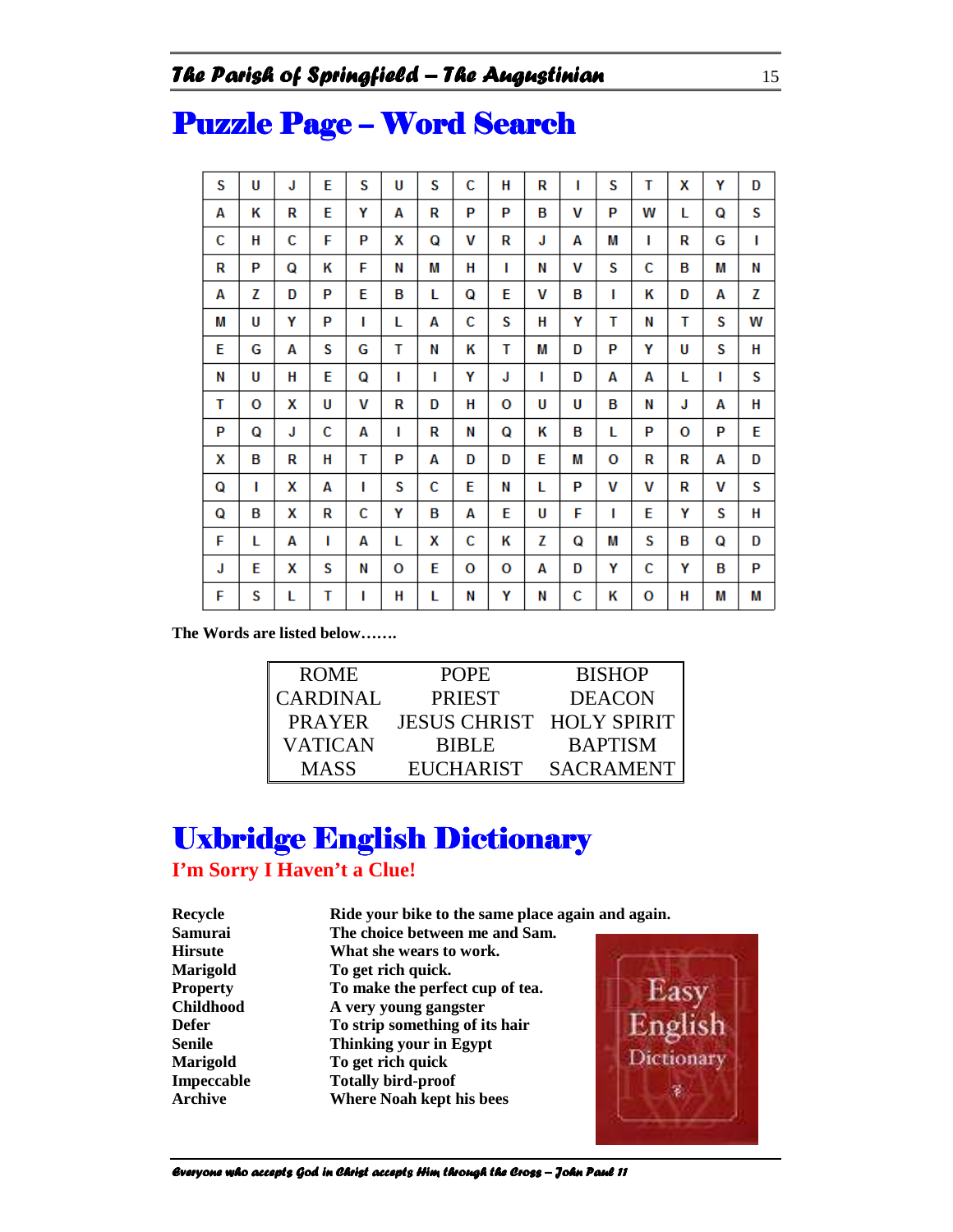| S | U | J | E | S | U | S | C | H | R | ı | S | T | X | Υ | D |
|---|---|---|---|---|---|---|---|---|---|---|---|---|---|---|---|
| Α | κ | R | E | Υ | Α | R | P | P | B | v | P | w | L | Q | S |
| Ċ | н | C | F | P | x | Q | v | R | J | А | M | ı | R | G | т |
| R | P | Q | κ | F | Ν | M | н | г | Ν | v | S | C | B | M | Ν |
| A | z | D | P | E | в | L | Q | E | V | в | г | Κ | D | А | z |
| M | U | Υ | P | ı | L | А | c | S | н | Υ | т | Ν | т | S | W |
| E | G | Α | S | G | т | Ν | Κ | т | M | D | P | Υ | U | S | н |
| Ν | U | н | E | Q | г | г | Υ | J | п | D | А | A | L | ı | S |
| т | 0 | x | U | V | R | D | н | o | U | U | в | Ν | J | А | н |
| P | Q | J | C | A | г | R | Ν | Q | Κ | в | L | P | O | P | E |
| х | в | R | н | т | P | А | D | D | Е | M | o | R | R | А | D |
| Q | п | x | A | п | S | C | E | Ν | L | P | v | v | R | v | S |
| Q | в | X | R | C | Υ | B | А | E | U | F | г | E | Υ | S | н |
| F | L | А | I | A | L | X | с | κ | z | Q | M | S | B | Q | D |
| J | E | x | S | Ν | 0 | E | 0 | o | А | D | Υ | c | Υ | в | P |
| F | S | L | т | п | н | L | Ν | Υ | Ν | c | Κ | o | Н | M | M |

## Puzzle Page - Word Search

**The Words are listed below…….** 

| <b>ROME</b>     | <b>POPE</b>              | <b>BISHOP</b>    |
|-----------------|--------------------------|------------------|
| <b>CARDINAL</b> | <b>PRIEST</b>            | <b>DEACON</b>    |
| <b>PRAYER</b>   | JESUS CHRIST HOLY SPIRIT |                  |
| VATICAN         | <b>BIBLE</b>             | <b>BAPTISM</b>   |
| <b>MASS</b>     | EUCHARIST                | <b>SACRAMENT</b> |

## **Uxbridge English Dictionary**

#### **I'm Sorry I Haven't a Clue!**

| Recycle          | Ride your bike to the same place again and again. |            |
|------------------|---------------------------------------------------|------------|
| Samurai          | The choice between me and Sam.                    |            |
| <b>Hirsute</b>   | What she wears to work.                           |            |
| <b>Marigold</b>  | To get rich quick.                                |            |
| <b>Property</b>  | To make the perfect cup of tea.                   | r as       |
| <b>Childhood</b> | A very young gangster                             |            |
| Defer            | To strip something of its hair                    | English    |
| Senile           | Thinking your in Egypt                            |            |
| Marigold         | To get rich quick                                 | Dictionary |
| Impeccable       | <b>Totally bird-proof</b>                         |            |
| Archive          | <b>Where Noah kept his bees</b>                   |            |
|                  |                                                   |            |